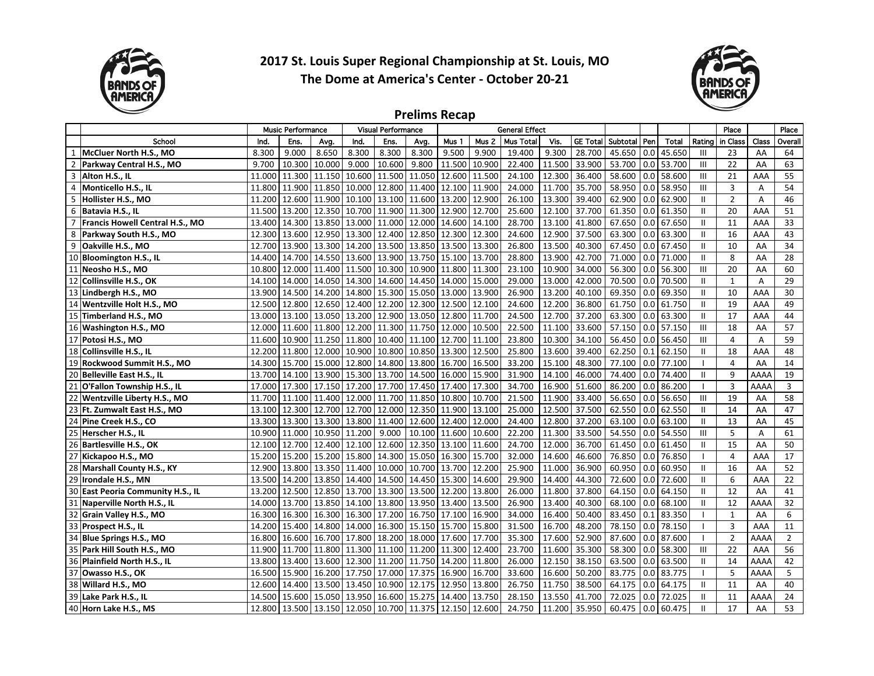

2017 St. Louis Super Regional Championship at St. Louis, MO The Dome at America's Center - October 20-21



## **Prelims Recap**

|                |                                        |        | <b>Music Performance</b>           |               |       | <b>Visual Performance</b>         |               | <b>General Effect</b>       |                  |                  |        |                 |          | Place |        | Place          |                |       |                |
|----------------|----------------------------------------|--------|------------------------------------|---------------|-------|-----------------------------------|---------------|-----------------------------|------------------|------------------|--------|-----------------|----------|-------|--------|----------------|----------------|-------|----------------|
|                | School                                 | Ind.   | Ens.                               | Avg.          | Ind.  | Ens.                              | Avg.          | Mus 1                       | Mus <sub>2</sub> | <b>Mus Total</b> | Vis.   | <b>GE Total</b> | Subtotal | l Pen | Total  | Rating         | in Class       | Class | <b>Overall</b> |
|                | McCluer North H.S., MO                 | 8.300  | 9.000                              | 8.650         | 8.300 | 8.300                             | 8.300         | 9.500                       | 9.900            | 19.400           | 9.300  | 28.700          | 45.650   | 0.0   | 45.650 | $\mathbf{III}$ | 23             | AA    | 64             |
| $\overline{2}$ | Parkway Central H.S., MO               | 9.700  | 10.300                             | 10.000        | 9.000 | 10.600                            | 9.800         | 11.500                      | 10.900           | 22.400           | 11.500 | 33.900          | 53.700   | 0.0   | 53.700 | $\mathbf{III}$ | 22             | AA    | 63             |
| 3              | Alton H.S., IL                         | 11.000 | 11.300 11.150 10.600               |               |       | 11.500                            | 11.050        | 12.600                      | 11.500           | 24.100           | 12.300 | 36.400          | 58.600   | 0.0   | 58.600 | $\mathbf{III}$ | 21             | AAA   | 55             |
| 4              | Monticello H.S., IL                    | 11.800 | 11.900 11.850 10.000               |               |       |                                   | 12.800 11.400 | 12.100 11.900               |                  | 24.000           | 11.700 | 35.700          | 58.950   | 0.0   | 58.950 | $\mathbf{III}$ | 3              | A     | 54             |
| 5              | Hollister H.S., MO                     | 11.200 | 12.600 11.900 10.100               |               |       | 13.100                            | 11.600        | 13.200                      | 12.900           | 26.100           | 13.300 | 39.400          | 62.900   | 0.0   | 62.900 | $\mathbf{H}$   | $\overline{2}$ | A     | 46             |
|                | 6 Batavia H.S., IL                     | 11.500 | 13.200                             | 12.350 10.700 |       | 11.900 11.300 12.900              |               |                             | 12.700           | 25.600           | 12.100 | 37.700          | 61.350   | 0.0   | 61.350 | $\mathbf{I}$   | 20             | AAA   | 51             |
| $\overline{7}$ | <b>Francis Howell Central H.S., MO</b> | 13.400 | 14.300 13.850 13.000               |               |       | 11.000                            |               | 12.000 14.600               | 14.100           | 28.700           | 13.100 | 41.800          | 67.650   | 0.0   | 67.650 | $\mathbf{H}$   | 11             | AAA   | 33             |
| 8              | Parkway South H.S., MO                 | 12.300 | 13.600 12.950 13.300               |               |       | 12.400 12.850 12.300              |               |                             | 12.300           | 24.600           | 12.900 | 37.500          | 63.300   | l 0.0 | 63.300 | $\mathbf{H}$   | 16             | AAA   | 43             |
| 9              | Oakville H.S., MO                      | 12.700 | 13.900 13.300 14.200               |               |       | 13.500 13.850 13.500              |               |                             | 13.300           | 26.800           | 13.500 | 40.300          | 67.450   | 0.0   | 67.450 | $\mathbf{H}$   | 10             | AA    | 34             |
|                | 10 Bloomington H.S., IL                | 14.400 | 14.700 14.550 13.600               |               |       | 13.900 13.750 15.100              |               |                             | 13.700           | 28.800           | 13.900 | 42.700          | 71.000   | 0.0   | 71.000 | $\mathbf{H}$   | 8              | AA    | 28             |
| 11             | Neosho H.S., MO                        | 10.800 | 12.000                             | 11.400 11.500 |       | 10.300                            |               | 10.900 11.800               | 11.300           | 23.100           | 10.900 | 34.000          | 56.300   | 0.0   | 56.300 | $\mathbf{III}$ | 20             | AA    | 60             |
| 12             | Collinsville H.S., OK                  | 14.100 | 14.000 14.050 14.300               |               |       | 14.600 14.450 14.000              |               |                             | 15.000           | 29.000           | 13.000 | 42.000          | 70.500   | 0.0   | 70.500 | $\mathbf{I}$   | 1              | Α     | 29             |
|                | 13 Lindbergh H.S., MO                  | 13.900 | 14.500 14.200 14.800               |               |       | 15.300 15.050 13.000 13.900       |               |                             |                  | 26.900           | 13.200 | 40.100          | 69.350   | 0.0   | 69.350 | $\mathbf{H}$   | 10             | AAA   | 30             |
|                | 14 Wentzville Holt H.S., MO            | 12.500 | 12.800 12.650 12.400               |               |       | 12.200                            |               | 12.300 12.500               | 12.100           | 24.600           | 12.200 | 36.800          | 61.750   | 0.0   | 61.750 | $\mathbf{H}$   | 19             | AAA   | 49             |
|                | 15 Timberland H.S., MO                 | 13.000 | 13.100                             | 13.050 13.200 |       | 12.900                            |               | 13.050 12.800               | 11.700           | 24.500           | 12.700 | 37.200          | 63.300   | 0.0   | 63.300 | $\mathbf{H}$   | 17             | AAA   | 44             |
|                | 16 Washington H.S., MO                 | 12.000 | 11.600 11.800 12.200               |               |       | 11.300   11.750   12.000          |               |                             | 10.500           | 22.500           | 11.100 | 33.600          | 57.150   | 0.0   | 57.150 | $\mathbf{III}$ | 18             | AA    | 57             |
|                | 17 Potosi H.S., MO                     | 11.600 | 10.900   11.250   11.800           |               |       |                                   |               | 10.400 11.100 12.700 11.100 |                  | 23.800           | 10.300 | 34.100          | 56.450   | l 0.0 | 56.450 | $\mathbf{III}$ | 4              | A     | 59             |
|                | 18 Collinsville H.S., IL               | 12.200 | 11.800 12.000 10.900               |               |       | 10.800                            |               | 10.850 13.300               | 12.500           | 25.800           | 13.600 | 39.400          | 62.250   | 0.1   | 62.150 | $\mathbf{II}$  | 18             | AAA   | 48             |
| 19             | Rockwood Summit H.S., MO               | 14.300 | 15.700 15.000 12.800               |               |       | 14.800                            |               | 13.800 16.700               | 16.500           | 33.200           | 15.100 | 48.300          | 77.100   | 0.0   | 77.100 |                | $\overline{4}$ | AA    | 14             |
|                | 20 Belleville East H.S., IL            | 13.700 | 14.100                             | 13.900 15.300 |       | 13.700                            | 14.500        | 16.000                      | 15.900           | 31.900           | 14.100 | 46.000          | 74.400   | 0.0   | 74.400 | $\mathbf{II}$  | 9              | AAAA  | 19             |
| 21             | O'Fallon Township H.S., IL             | 17.000 | 17.300 17.150 17.200               |               |       | 17.700                            |               | 17.450 17.400               | 17.300           | 34.700           | 16.900 | 51.600          | 86.200   | 0.0   | 86.200 |                | 3              | AAAA  | 3              |
| 22             | Wentzville Liberty H.S., MO            | 11.700 | 11.100 11.400 12.000               |               |       | 11.700 11.850 10.800              |               |                             | 10.700           | 21.500           | 11.900 | 33.400          | 56.650   | 0.0   | 56.650 | $\mathbf{III}$ | 19             | AA    | 58             |
|                | 23 Ft. Zumwalt East H.S., MO           | 13.100 | 12.300 12.700 12.700               |               |       | 12.000                            |               | 12.350 11.900               | 13.100           | 25.000           | 12.500 | 37.500          | 62.550   | 0.0   | 62.550 | $\mathbf{H}$   | 14             | AA    | 47             |
|                | 24 Pine Creek H.S., CO                 | 13.300 | 13.300 13.300 13.800               |               |       | 11.400                            |               | 12.600 12.400               | 12.000           | 24.400           | 12.800 | 37.200          | 63.100   | 0.0   | 63.100 | $\mathbf{H}$   | 13             | AA    | 45             |
|                | 25 Herscher H.S., IL                   | 10.900 | 11.000 10.950 11.200               |               |       | 9.000                             |               | 10.100 11.600               | 10.600           | 22.200           | 11.300 | 33.500          | 54.550   | 0.0   | 54.550 | $\mathbf{III}$ | 5              | Α     | 61             |
|                | 26 Bartlesville H.S., OK               | 12.100 | 12.700 12.400 12.100               |               |       |                                   |               | 12.600 12.350 13.100 11.600 |                  | 24.700           | 12.000 | 36.700          | 61.450   | 0.0   | 61.450 | $\mathbf{I}$   | 15             | AA    | 50             |
|                | 27 Kickapoo H.S., MO                   | 15.200 | 15.200 15.200 15.800               |               |       | 14.300 15.050 16.300              |               |                             | 15.700           | 32.000           | 14.600 | 46.600          | 76.850   | 0.0   | 76.850 |                | $\overline{4}$ | AAA   | 17             |
|                | 28 Marshall County H.S., KY            | 12.900 | 13.800                             | 13.350 11.400 |       | 10.000                            |               | 10.700 13.700               | 12.200           | 25.900           | 11.000 | 36.900          | 60.950   | 0.0   | 60.950 | $\mathbf{II}$  | 16             | AA    | 52             |
| 29             | Irondale H.S., MN                      | 13.500 | 14.200                             | 13.850 14.400 |       | 14.500                            |               | 14.450 15.300               | 14.600           | 29.900           | 14.400 | 44.300          | 72.600   | 0.0   | 72.600 | $\mathbf{II}$  | 6              | AAA   | 22             |
|                | 30 East Peoria Community H.S., IL      | 13.200 | 12.500 12.850 13.700               |               |       | 13.300                            |               | 13.500 12.200               | 13.800           | 26.000           | 11.800 | 37.800          | 64.150   | 0.0   | 64.150 | $\mathbf{I}$   | 12             | AA    | 41             |
|                | 31 Naperville North H.S., IL           | 14.000 | 13.700 13.850 14.100               |               |       | 13.800   13.950   13.400   13.500 |               |                             |                  | 26.900           | 13.400 | 40.300          | 68.100   | 0.0   | 68.100 | Ш              | 12             | AAAA  | 32             |
|                | 32 Grain Valley H.S., MO               | 16.300 | 16.300 16.300 16.300               |               |       | 17.200                            |               | 16.750 17.100               | 16.900           | 34.000           | 16.400 | 50.400          | 83.450   | 0.1   | 83.350 |                | $\mathbf{1}$   | AA    | 6              |
|                | 33 Prospect H.S., IL                   | 14.200 | 15.400 14.800 14.000               |               |       | 16.300 15.150 15.700              |               |                             | 15.800           | 31.500           | 16.700 | 48.200          | 78.150   | 0.0   | 78.150 |                | $\overline{3}$ | AAA   | 11             |
|                | 34 Blue Springs H.S., MO               | 16.800 | 16.600 16.700 17.800               |               |       | 18.200 18.000 17.600              |               |                             | 17.700           | 35.300           | 17.600 | 52.900          | 87.600   | 0.0   | 87.600 |                | $\overline{2}$ | AAAA  | $\overline{2}$ |
|                | 35 Park Hill South H.S., MO            | 11.900 | 11.700 11.800 11.300               |               |       | 11.100 11.200 11.300              |               |                             | 12.400           | 23.700           | 11.600 | 35.300          | 58.300   | 0.0   | 58.300 | $\mathbf{III}$ | 22             | AAA   | 56             |
|                | 36 Plainfield North H.S., IL           | 13.800 | 13.400 13.600 12.300               |               |       | 11.200 11.750 14.200              |               |                             | 11.800           | 26.000           | 12.150 | 38.150          | 63.500   | 0.0   | 63.500 | Ш              | 14             | AAAA  | 42             |
|                | 37 Owasso H.S., OK                     | 16.500 | 15.900                             | 16.200 17.750 |       | 17.000                            |               | 17.375 16.900               | 16.700           | 33.600           | 16.600 | 50.200          | 83.775   | 0.0   | 83.775 |                | 5              | AAAA  | 5              |
| 38             | Willard H.S., MO                       | 12.600 | 14.400                             | 13.500 13.450 |       | 10.900                            | 12.175        | 12.950                      | 13.800           | 26.750           | 11.750 | 38.500          | 64.175   | 0.0   | 64.175 | $\mathbf{II}$  | 11             | AA    | 40             |
| 39             | Lake Park H.S., IL                     | 14.500 | 15.600 15.050 13.950               |               |       | 16.600                            | 15.275        | 14.400                      | 13.750           | 28.150           | 13.550 | 41.700          | 72.025   | 0.0   | 72.025 | Ш              | 11             | AAAA  | 24             |
|                | 40 Horn Lake H.S., MS                  | 12.800 | 13.500 13.150 12.050 10.700 11.375 |               |       |                                   |               | 12.150 12.600               |                  | 24.750           | 11.200 | 35.950          | 60.475   | 0.0   | 60.475 | $\mathbf{I}$   | 17             | AA    | 53             |